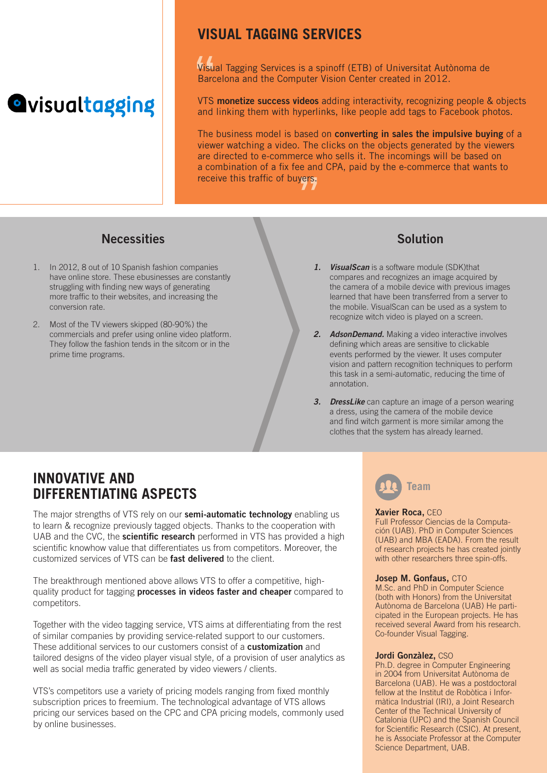# **Quisualtagging**

### **VISUAL TAGGING SERVICES**

Visual Tagging Services is a spinoff (ETB) of Universitat Autònoma de Barcelona and the Computer Vision Center created in 2012.

VTS monetize success videos adding interactivity, recognizing people & objects and linking them with hyperlinks, like people add tags to Facebook photos.

The business model is based on **converting in sales the impulsive buying** of a viewer watching a video. The clicks on the objects generated by the viewers are directed to e-commerce who sells it. The incomings will be based on a combination of a fix fee and CPA, paid by the e-commerce that wants to receive this traffic of buyers.

#### Necessities Solution

- 1. In 2012, 8 out of 10 Spanish fashion companies have online store. These ebusinesses are constantly struggling with finding new ways of generating more traffic to their websites, and increasing the conversion rate.
- 2. Most of the TV viewers skipped (80-90%) the commercials and prefer using online video platform. They follow the fashion tends in the sitcom or in the prime time programs.

- *1. VisualScan* is a software module (SDK)that compares and recognizes an image acquired by the camera of a mobile device with previous images learned that have been transferred from a server to the mobile. VisualScan can be used as a system to recognize witch video is played on a screen.
- *2. AdsonDemand.* Making a video interactive involves defining which areas are sensitive to clickable events performed by the viewer. It uses computer vision and pattern recognition techniques to perform this task in a semi-automatic, reducing the time of annotation.
- *3. DressLike* can capture an image of a person wearing a dress, using the camera of the mobile device and find witch garment is more similar among the clothes that the system has already learned.

### **INNOVATIVE AND DIFFERENTIATING ASPECTS**

The major strengths of VTS rely on our **semi-automatic technology** enabling us to learn & recognize previously tagged objects. Thanks to the cooperation with UAB and the CVC, the **scientific research** performed in VTS has provided a high scientific knowhow value that differentiates us from competitors. Moreover, the customized services of VTS can be fast delivered to the client.

The breakthrough mentioned above allows VTS to offer a competitive, highquality product for tagging **processes in videos faster and cheaper** compared to competitors.

Together with the video tagging service, VTS aims at differentiating from the rest of similar companies by providing service-related support to our customers. These additional services to our customers consist of a **customization** and tailored designs of the video player visual style, of a provision of user analytics as well as social media traffic generated by video viewers / clients.

VTS's competitors use a variety of pricing models ranging from fixed monthly subscription prices to freemium. The technological advantage of VTS allows pricing our services based on the CPC and CPA pricing models, commonly used by online businesses.



#### Xavier Roca, CEO

Full Professor Ciencias de la Computación (UAB). PhD in Computer Sciences (UAB) and MBA (EADA). From the result of research projects he has created jointly with other researchers three spin-offs.

#### Josep M. Gonfaus, CTO

M.Sc. and PhD in Computer Science (both with Honors) from the Universitat Autònoma de Barcelona (UAB) He participated in the European projects. He has received several Award from his research. Co-founder Visual Tagging.

#### Jordi Gonzàlez, CSO

Ph.D. degree in Computer Engineering in 2004 from Universitat Autònoma de Barcelona (UAB). He was a postdoctoral fellow at the Institut de Robòtica i Informàtica Industrial (IRI), a Joint Research Center of the Technical University of Catalonia (UPC) and the Spanish Council for Scientific Research (CSIC). At present, he is Associate Professor at the Computer Science Department, UAB.